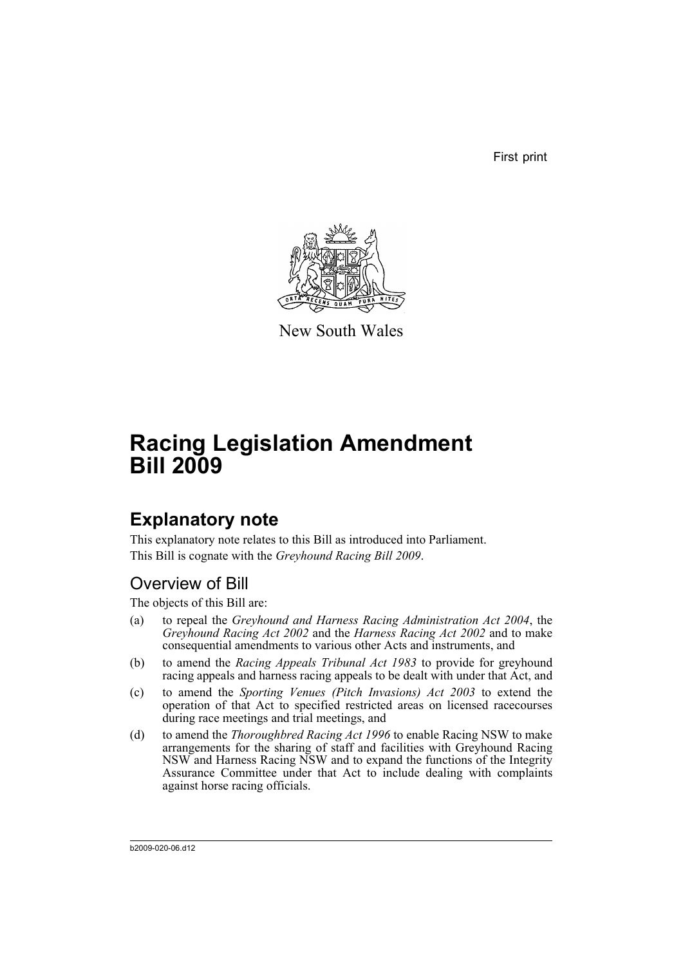First print



New South Wales

# **Racing Legislation Amendment Bill 2009**

# **Explanatory note**

This explanatory note relates to this Bill as introduced into Parliament. This Bill is cognate with the *Greyhound Racing Bill 2009*.

# Overview of Bill

The objects of this Bill are:

- (a) to repeal the *Greyhound and Harness Racing Administration Act 2004*, the *Greyhound Racing Act 2002* and the *Harness Racing Act 2002* and to make consequential amendments to various other Acts and instruments, and
- (b) to amend the *Racing Appeals Tribunal Act 1983* to provide for greyhound racing appeals and harness racing appeals to be dealt with under that Act, and
- (c) to amend the *Sporting Venues (Pitch Invasions) Act 2003* to extend the operation of that Act to specified restricted areas on licensed racecourses during race meetings and trial meetings, and
- (d) to amend the *Thoroughbred Racing Act 1996* to enable Racing NSW to make arrangements for the sharing of staff and facilities with Greyhound Racing NSW and Harness Racing NSW and to expand the functions of the Integrity Assurance Committee under that Act to include dealing with complaints against horse racing officials.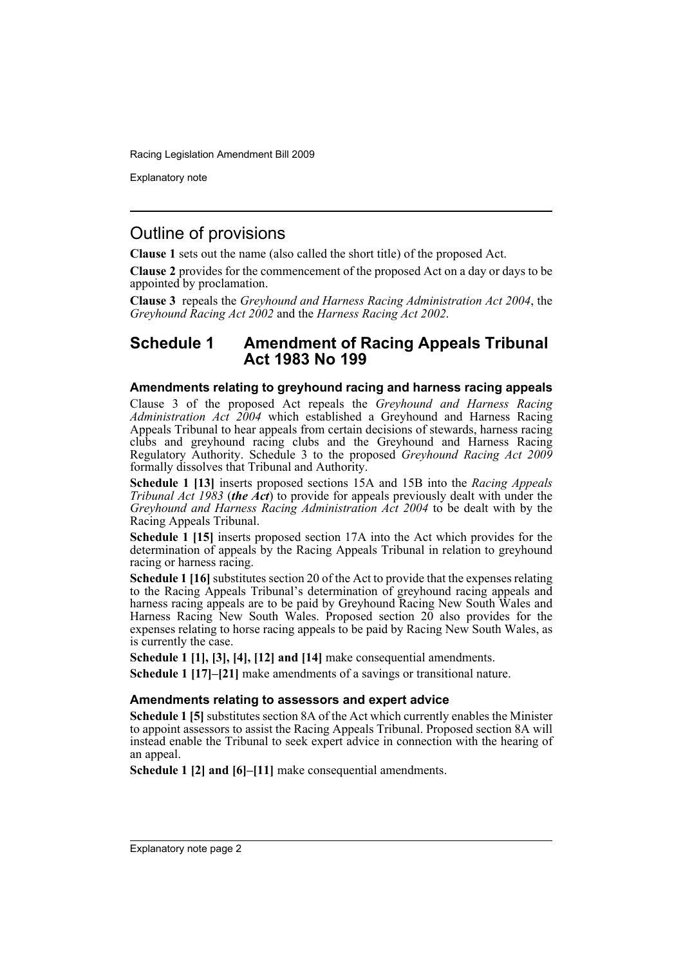Explanatory note

# Outline of provisions

**Clause 1** sets out the name (also called the short title) of the proposed Act.

**Clause 2** provides for the commencement of the proposed Act on a day or days to be appointed by proclamation.

**Clause 3** repeals the *Greyhound and Harness Racing Administration Act 2004*, the *Greyhound Racing Act 2002* and the *Harness Racing Act 2002*.

### **Schedule 1 Amendment of Racing Appeals Tribunal Act 1983 No 199**

#### **Amendments relating to greyhound racing and harness racing appeals**

Clause 3 of the proposed Act repeals the *Greyhound and Harness Racing Administration Act 2004* which established a Greyhound and Harness Racing Appeals Tribunal to hear appeals from certain decisions of stewards, harness racing clubs and greyhound racing clubs and the Greyhound and Harness Racing Regulatory Authority. Schedule 3 to the proposed *Greyhound Racing Act 2009* formally dissolves that Tribunal and Authority.

**Schedule 1 [13]** inserts proposed sections 15A and 15B into the *Racing Appeals Tribunal Act 1983* (*the Act*) to provide for appeals previously dealt with under the *Greyhound and Harness Racing Administration Act 2004* to be dealt with by the Racing Appeals Tribunal.

**Schedule 1 [15]** inserts proposed section 17A into the Act which provides for the determination of appeals by the Racing Appeals Tribunal in relation to greyhound racing or harness racing.

**Schedule 1 [16]** substitutes section 20 of the Act to provide that the expenses relating to the Racing Appeals Tribunal's determination of greyhound racing appeals and harness racing appeals are to be paid by Greyhound Racing New South Wales and Harness Racing New South Wales. Proposed section  $20$  also provides for the expenses relating to horse racing appeals to be paid by Racing New South Wales, as is currently the case.

**Schedule 1 [1], [3], [4], [12] and [14]** make consequential amendments.

**Schedule 1 [17]–[21]** make amendments of a savings or transitional nature.

#### **Amendments relating to assessors and expert advice**

**Schedule 1 [5]** substitutes section 8A of the Act which currently enables the Minister to appoint assessors to assist the Racing Appeals Tribunal. Proposed section 8A will instead enable the Tribunal to seek expert advice in connection with the hearing of an appeal.

**Schedule 1 [2] and [6]–[11]** make consequential amendments.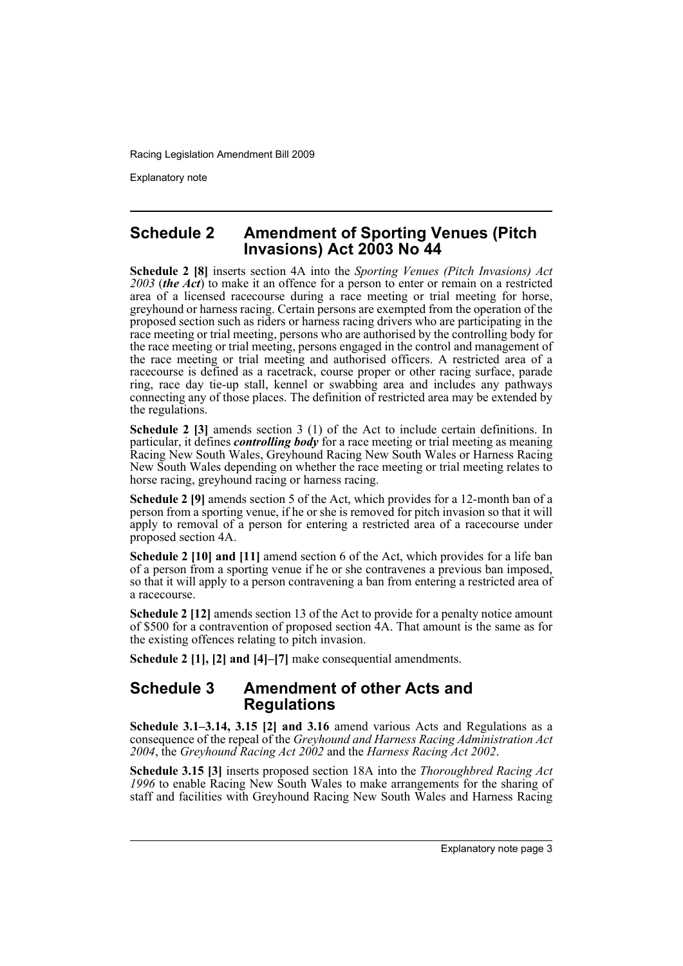Explanatory note

### **Schedule 2 Amendment of Sporting Venues (Pitch Invasions) Act 2003 No 44**

**Schedule 2 [8]** inserts section 4A into the *Sporting Venues (Pitch Invasions) Act 2003* (*the Act*) to make it an offence for a person to enter or remain on a restricted area of a licensed racecourse during a race meeting or trial meeting for horse, greyhound or harness racing. Certain persons are exempted from the operation of the proposed section such as riders or harness racing drivers who are participating in the race meeting or trial meeting, persons who are authorised by the controlling body for the race meeting or trial meeting, persons engaged in the control and management of the race meeting or trial meeting and authorised officers. A restricted area of a racecourse is defined as a racetrack, course proper or other racing surface, parade ring, race day tie-up stall, kennel or swabbing area and includes any pathways connecting any of those places. The definition of restricted area may be extended by the regulations.

**Schedule 2 [3]** amends section 3 (1) of the Act to include certain definitions. In particular, it defines *controlling body* for a race meeting or trial meeting as meaning Racing New South Wales, Greyhound Racing New South Wales or Harness Racing New South Wales depending on whether the race meeting or trial meeting relates to horse racing, greyhound racing or harness racing.

**Schedule 2 [9]** amends section 5 of the Act, which provides for a 12-month ban of a person from a sporting venue, if he or she is removed for pitch invasion so that it will apply to removal of a person for entering a restricted area of a racecourse under proposed section 4A.

**Schedule 2 [10] and [11]** amend section 6 of the Act, which provides for a life ban of a person from a sporting venue if he or she contravenes a previous ban imposed, so that it will apply to a person contravening a ban from entering a restricted area of a racecourse.

**Schedule 2 [12]** amends section 13 of the Act to provide for a penalty notice amount of \$500 for a contravention of proposed section 4A. That amount is the same as for the existing offences relating to pitch invasion.

**Schedule 2 [1], [2] and [4]–[7]** make consequential amendments.

### **Schedule 3 Amendment of other Acts and Regulations**

**Schedule 3.1–3.14, 3.15 [2] and 3.16** amend various Acts and Regulations as a consequence of the repeal of the *Greyhound and Harness Racing Administration Act 2004*, the *Greyhound Racing Act 2002* and the *Harness Racing Act 2002*.

**Schedule 3.15 [3]** inserts proposed section 18A into the *Thoroughbred Racing Act 1996* to enable Racing New South Wales to make arrangements for the sharing of staff and facilities with Greyhound Racing New South Wales and Harness Racing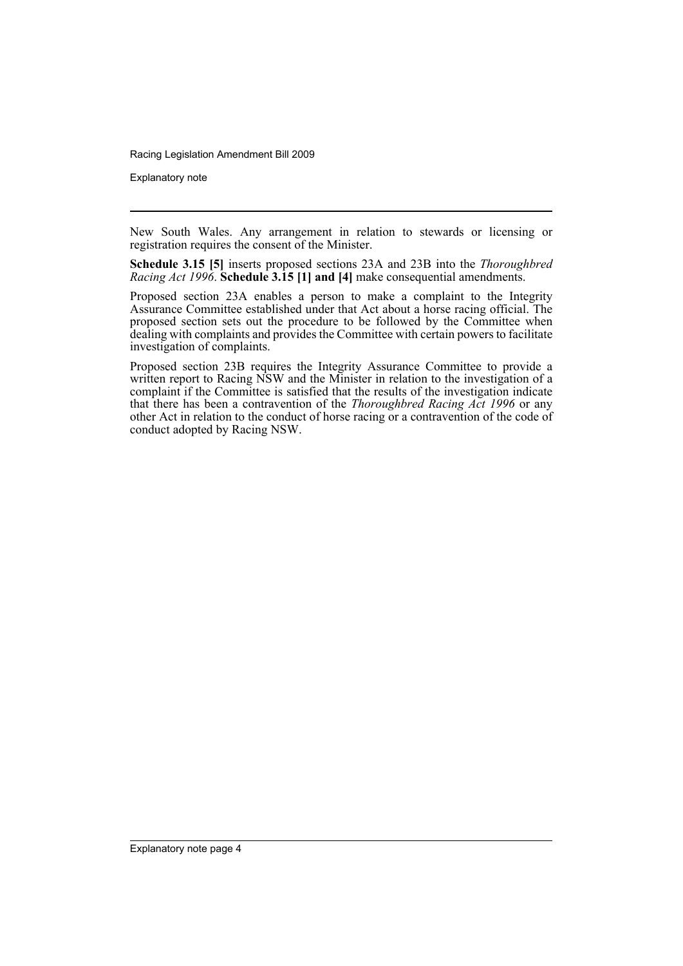Explanatory note

New South Wales. Any arrangement in relation to stewards or licensing or registration requires the consent of the Minister.

**Schedule 3.15 [5]** inserts proposed sections 23A and 23B into the *Thoroughbred Racing Act 1996*. **Schedule 3.15 [1] and [4]** make consequential amendments.

Proposed section 23A enables a person to make a complaint to the Integrity Assurance Committee established under that Act about a horse racing official. The proposed section sets out the procedure to be followed by the Committee when dealing with complaints and provides the Committee with certain powers to facilitate investigation of complaints.

Proposed section 23B requires the Integrity Assurance Committee to provide a written report to Racing NSW and the Minister in relation to the investigation of a complaint if the Committee is satisfied that the results of the investigation indicate that there has been a contravention of the *Thoroughbred Racing Act 1996* or any other Act in relation to the conduct of horse racing or a contravention of the code of conduct adopted by Racing NSW.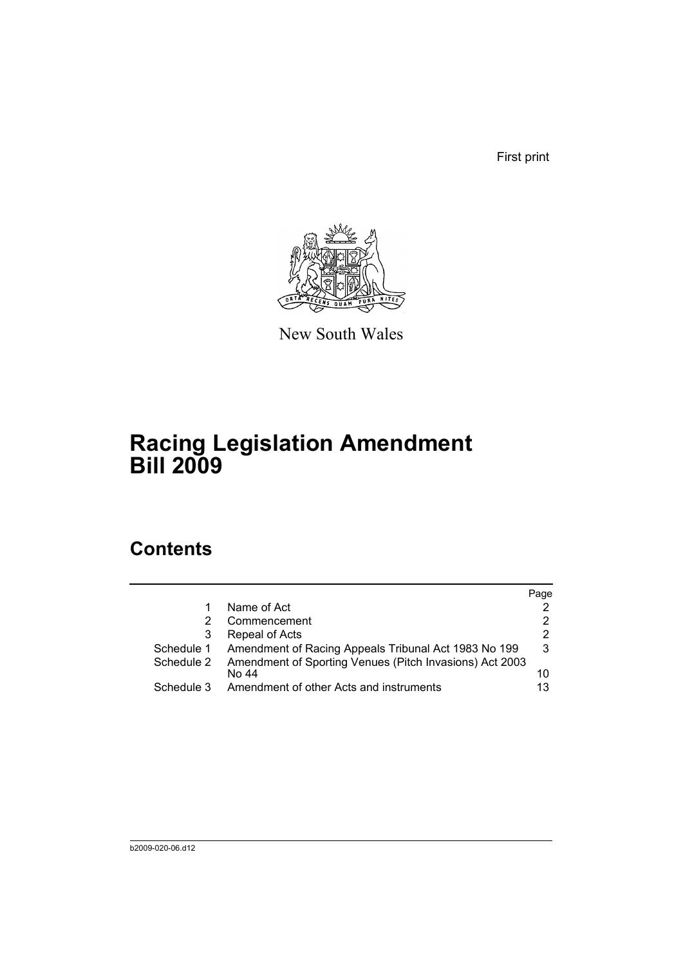First print



New South Wales

# **Racing Legislation Amendment Bill 2009**

# **Contents**

|            |                                                                  | Page           |
|------------|------------------------------------------------------------------|----------------|
|            | Name of Act                                                      |                |
| 2          | Commencement                                                     | 2              |
| 3          | Repeal of Acts                                                   | $\overline{2}$ |
|            | Schedule 1 Amendment of Racing Appeals Tribunal Act 1983 No 199  | 3              |
| Schedule 2 | Amendment of Sporting Venues (Pitch Invasions) Act 2003<br>No 44 | 10             |
| Schedule 3 | Amendment of other Acts and instruments                          | 13             |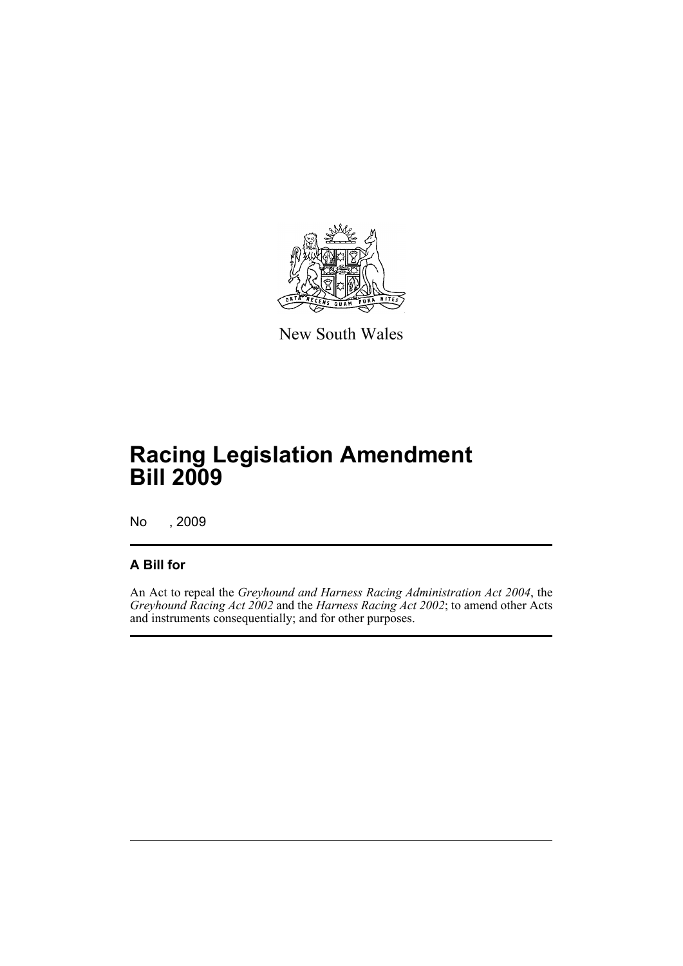

New South Wales

# **Racing Legislation Amendment Bill 2009**

No , 2009

### **A Bill for**

An Act to repeal the *Greyhound and Harness Racing Administration Act 2004*, the *Greyhound Racing Act 2002* and the *Harness Racing Act 2002*; to amend other Acts and instruments consequentially; and for other purposes.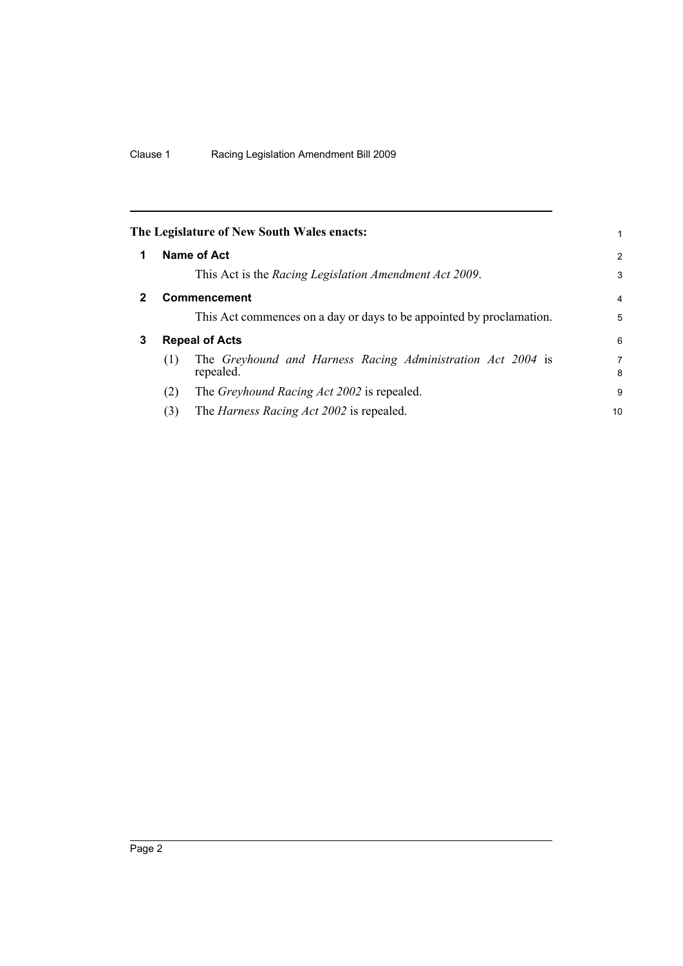<span id="page-7-2"></span><span id="page-7-1"></span><span id="page-7-0"></span>

|   |     | The Legislature of New South Wales enacts:                               | 1              |
|---|-----|--------------------------------------------------------------------------|----------------|
| 1 |     | Name of Act                                                              | $\overline{2}$ |
|   |     | This Act is the Racing Legislation Amendment Act 2009.                   | 3              |
|   |     | <b>Commencement</b>                                                      | 4              |
|   |     | This Act commences on a day or days to be appointed by proclamation.     | 5              |
| 3 |     | <b>Repeal of Acts</b>                                                    | 6              |
|   | (1) | The Greyhound and Harness Racing Administration Act 2004 is<br>repealed. | 7<br>8         |
|   | (2) | The <i>Greyhound Racing Act 2002</i> is repealed.                        | 9              |
|   | (3) | The <i>Harness Racing Act 2002</i> is repealed.                          | 10             |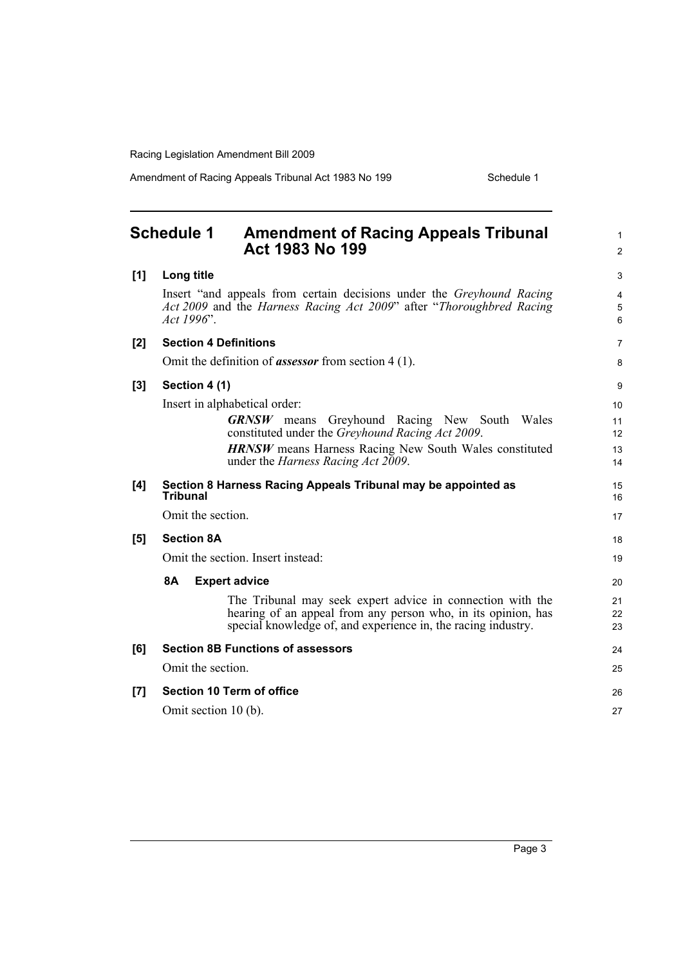Amendment of Racing Appeals Tribunal Act 1983 No 199 Schedule 1

<span id="page-8-0"></span>

|     | <b>Schedule 1</b><br><b>Amendment of Racing Appeals Tribunal</b><br>Act 1983 No 199                                                                                                          | 1<br>$\overline{c}$ |
|-----|----------------------------------------------------------------------------------------------------------------------------------------------------------------------------------------------|---------------------|
| [1] | Long title                                                                                                                                                                                   | 3                   |
|     | Insert "and appeals from certain decisions under the <i>Greyhound Racing</i><br>Act 2009 and the Harness Racing Act 2009" after "Thoroughbred Racing"<br>Act 1996".                          | 4<br>5<br>6         |
| [2] | <b>Section 4 Definitions</b>                                                                                                                                                                 | 7                   |
|     | Omit the definition of <i>assessor</i> from section $4(1)$ .                                                                                                                                 | 8                   |
| [3] | Section 4 (1)                                                                                                                                                                                | 9                   |
|     | Insert in alphabetical order:                                                                                                                                                                | 10                  |
|     | <b>GRNSW</b> means Greyhound Racing New South Wales                                                                                                                                          | 11                  |
|     | constituted under the <i>Greyhound Racing Act 2009</i> .                                                                                                                                     | 12                  |
|     | <b>HRNSW</b> means Harness Racing New South Wales constituted<br>under the <i>Harness Racing Act 2009</i> .                                                                                  | 13<br>14            |
| [4] | Section 8 Harness Racing Appeals Tribunal may be appointed as<br><b>Tribunal</b>                                                                                                             | 15<br>16            |
|     | Omit the section.                                                                                                                                                                            | 17                  |
| [5] | <b>Section 8A</b>                                                                                                                                                                            | 18                  |
|     | Omit the section. Insert instead:                                                                                                                                                            | 19                  |
|     | 8A<br><b>Expert advice</b>                                                                                                                                                                   | 20                  |
|     | The Tribunal may seek expert advice in connection with the<br>hearing of an appeal from any person who, in its opinion, has<br>special knowledge of, and experience in, the racing industry. | 21<br>22<br>23      |
| [6] | <b>Section 8B Functions of assessors</b>                                                                                                                                                     | 24                  |
|     | Omit the section.                                                                                                                                                                            | 25                  |
| [7] | <b>Section 10 Term of office</b>                                                                                                                                                             | 26                  |
|     | Omit section 10 (b).                                                                                                                                                                         | 27                  |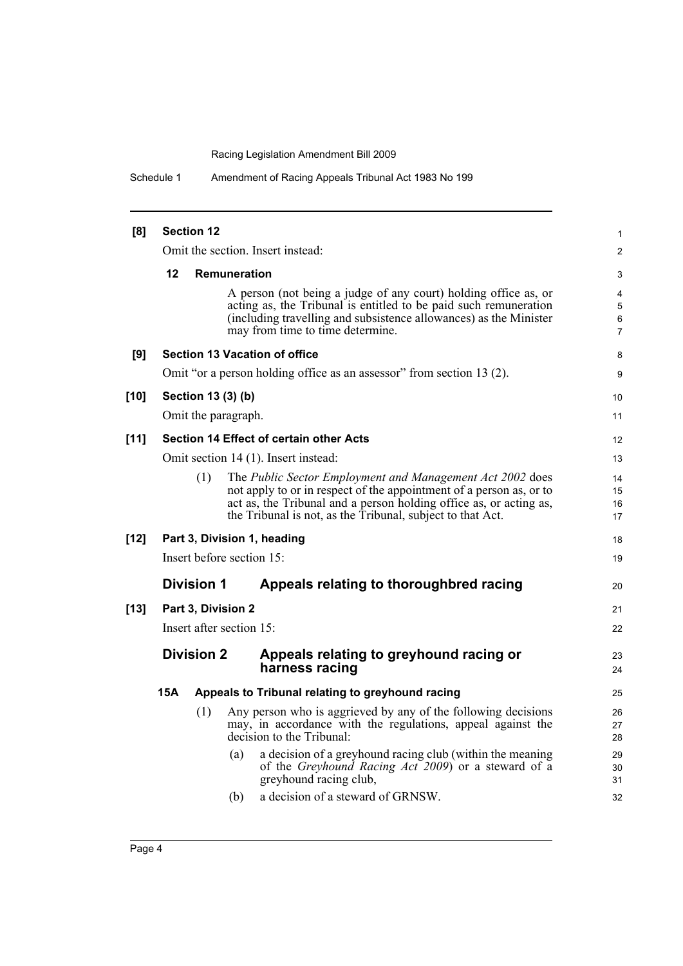Schedule 1 Amendment of Racing Appeals Tribunal Act 1983 No 199

| [8]    |     | <b>Section 12</b>        |              |                                                                                                                                                                                                                                                                      | $\mathbf{1}$         |
|--------|-----|--------------------------|--------------|----------------------------------------------------------------------------------------------------------------------------------------------------------------------------------------------------------------------------------------------------------------------|----------------------|
|        |     |                          |              | Omit the section. Insert instead:                                                                                                                                                                                                                                    | $\overline{c}$       |
|        | 12  |                          | Remuneration |                                                                                                                                                                                                                                                                      | 3                    |
|        |     |                          |              | A person (not being a judge of any court) holding office as, or<br>acting as, the Tribunal is entitled to be paid such remuneration<br>(including travelling and subsistence allowances) as the Minister<br>may from time to time determine.                         | 4<br>5<br>6<br>7     |
| [9]    |     |                          |              | <b>Section 13 Vacation of office</b>                                                                                                                                                                                                                                 | 8                    |
|        |     |                          |              | Omit "or a person holding office as an assessor" from section 13 (2).                                                                                                                                                                                                | 9                    |
| $[10]$ |     | Section 13 (3) (b)       |              |                                                                                                                                                                                                                                                                      | 10                   |
|        |     | Omit the paragraph.      |              |                                                                                                                                                                                                                                                                      | 11                   |
| $[11]$ |     |                          |              | <b>Section 14 Effect of certain other Acts</b>                                                                                                                                                                                                                       | 12                   |
|        |     |                          |              | Omit section 14 (1). Insert instead:                                                                                                                                                                                                                                 | 13                   |
|        |     | (1)                      |              | The Public Sector Employment and Management Act 2002 does<br>not apply to or in respect of the appointment of a person as, or to<br>act as, the Tribunal and a person holding office as, or acting as,<br>the Tribunal is not, as the Tribunal, subject to that Act. | 14<br>15<br>16<br>17 |
| $[12]$ |     |                          |              | Part 3, Division 1, heading                                                                                                                                                                                                                                          | 18                   |
|        |     |                          |              | Insert before section 15:                                                                                                                                                                                                                                            | 19                   |
|        |     | <b>Division 1</b>        |              | Appeals relating to thoroughbred racing                                                                                                                                                                                                                              | 20                   |
| $[13]$ |     | Part 3, Division 2       |              |                                                                                                                                                                                                                                                                      | 21                   |
|        |     | Insert after section 15: |              |                                                                                                                                                                                                                                                                      | 22                   |
|        |     | <b>Division 2</b>        |              | Appeals relating to greyhound racing or<br>harness racing                                                                                                                                                                                                            | 23<br>24             |
|        | 15A |                          |              | Appeals to Tribunal relating to greyhound racing                                                                                                                                                                                                                     | 25                   |
|        |     | (1)                      |              | Any person who is aggrieved by any of the following decisions<br>may, in accordance with the regulations, appeal against the<br>decision to the Tribunal:                                                                                                            | 26<br>27<br>28       |
|        |     |                          | (a)          | a decision of a greyhound racing club (within the meaning<br>of the <i>Greyhound Racing Act</i> 2009) or a steward of a<br>greyhound racing club,                                                                                                                    | 29<br>30<br>31       |
|        |     |                          | (b)          | a decision of a steward of GRNSW.                                                                                                                                                                                                                                    | 32                   |
|        |     |                          |              |                                                                                                                                                                                                                                                                      |                      |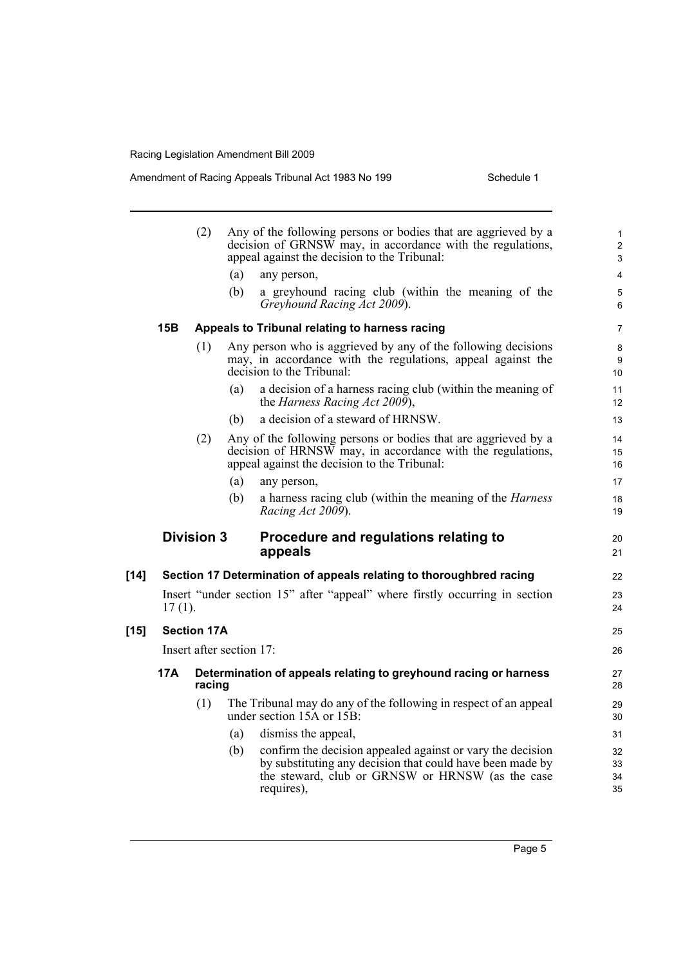Amendment of Racing Appeals Tribunal Act 1983 No 199

| Schedule 1 |
|------------|
|------------|

|        |           | (2)                |                          | Any of the following persons or bodies that are aggrieved by a<br>decision of GRNSW may, in accordance with the regulations,<br>appeal against the decision to the Tribunal:              | $\mathbf{1}$<br>$\overline{\mathbf{c}}$<br>3 |
|--------|-----------|--------------------|--------------------------|-------------------------------------------------------------------------------------------------------------------------------------------------------------------------------------------|----------------------------------------------|
|        |           |                    | (a)                      | any person,                                                                                                                                                                               | 4                                            |
|        |           |                    | (b)                      | a greyhound racing club (within the meaning of the<br>Greyhound Racing Act 2009).                                                                                                         | 5<br>6                                       |
|        | 15B       |                    |                          | Appeals to Tribunal relating to harness racing                                                                                                                                            | $\overline{7}$                               |
|        |           | (1)                |                          | Any person who is aggrieved by any of the following decisions<br>may, in accordance with the regulations, appeal against the<br>decision to the Tribunal:                                 | 8<br>9<br>10 <sup>°</sup>                    |
|        |           |                    | (a)                      | a decision of a harness racing club (within the meaning of<br>the Harness Racing Act 2009),                                                                                               | 11<br>12 <sup>2</sup>                        |
|        |           |                    | (b)                      | a decision of a steward of HRNSW.                                                                                                                                                         | 13                                           |
|        |           | (2)                |                          | Any of the following persons or bodies that are aggrieved by a<br>decision of HRNSW may, in accordance with the regulations,<br>appeal against the decision to the Tribunal:              | 14<br>15<br>16                               |
|        |           |                    | (a)                      | any person,                                                                                                                                                                               | 17                                           |
|        |           |                    | (b)                      | a harness racing club (within the meaning of the <i>Harness</i><br>Racing Act 2009).                                                                                                      | 18<br>19                                     |
|        |           | <b>Division 3</b>  |                          | Procedure and regulations relating to<br>appeals                                                                                                                                          | 20<br>21                                     |
| [14]   |           |                    |                          | Section 17 Determination of appeals relating to thoroughbred racing                                                                                                                       | 22                                           |
|        | $17(1)$ . |                    |                          | Insert "under section 15" after "appeal" where firstly occurring in section                                                                                                               | 23<br>24                                     |
| $[15]$ |           | <b>Section 17A</b> |                          |                                                                                                                                                                                           | 25                                           |
|        |           |                    |                          |                                                                                                                                                                                           |                                              |
|        |           |                    | Insert after section 17: |                                                                                                                                                                                           | 26                                           |
|        | 17A       | racing             |                          | Determination of appeals relating to greyhound racing or harness                                                                                                                          | 27<br>28                                     |
|        |           | (1)                |                          | The Tribunal may do any of the following in respect of an appeal<br>under section 15A or 15B:                                                                                             | 29<br>30                                     |
|        |           |                    | (a)                      | dismiss the appeal,                                                                                                                                                                       | 31                                           |
|        |           |                    | (b)                      | confirm the decision appealed against or vary the decision<br>by substituting any decision that could have been made by<br>the steward, club or GRNSW or HRNSW (as the case<br>requires), | 32<br>33<br>34<br>35                         |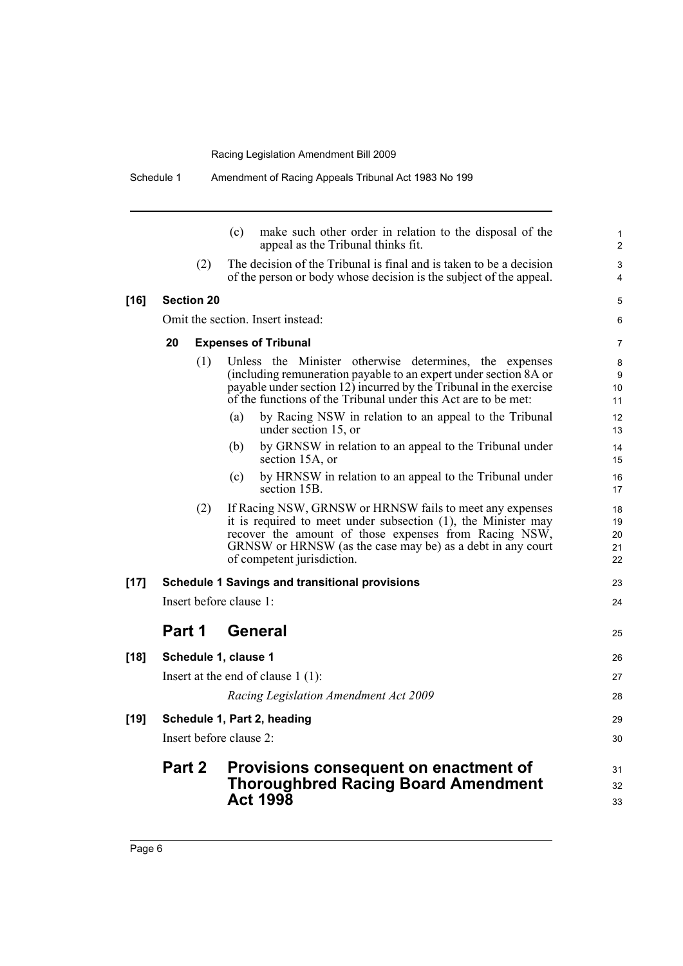Schedule 1 Amendment of Racing Appeals Tribunal Act 1983 No 199

|        |                         | (c)<br>make such other order in relation to the disposal of the<br>appeal as the Tribunal thinks fit.                                                                                                                                                                             | 1<br>$\overline{2}$        |
|--------|-------------------------|-----------------------------------------------------------------------------------------------------------------------------------------------------------------------------------------------------------------------------------------------------------------------------------|----------------------------|
|        | (2)                     | The decision of the Tribunal is final and is taken to be a decision<br>of the person or body whose decision is the subject of the appeal.                                                                                                                                         | 3<br>4                     |
| $[16]$ | <b>Section 20</b>       |                                                                                                                                                                                                                                                                                   | 5                          |
|        |                         | Omit the section. Insert instead:                                                                                                                                                                                                                                                 | 6                          |
|        | 20                      | <b>Expenses of Tribunal</b>                                                                                                                                                                                                                                                       | 7                          |
|        | (1)                     | Unless the Minister otherwise determines, the expenses<br>(including remuneration payable to an expert under section 8A or<br>payable under section $12$ ) incurred by the Tribunal in the exercise<br>of the functions of the Tribunal under this Act are to be met:             | 8<br>9<br>10<br>11         |
|        |                         | by Racing NSW in relation to an appeal to the Tribunal<br>(a)<br>under section 15, or                                                                                                                                                                                             | 12<br>13                   |
|        |                         | by GRNSW in relation to an appeal to the Tribunal under<br>(b)<br>section 15A, or                                                                                                                                                                                                 | 14<br>15                   |
|        |                         | by HRNSW in relation to an appeal to the Tribunal under<br>(c)<br>section 15B.                                                                                                                                                                                                    | 16<br>17                   |
|        | (2)                     | If Racing NSW, GRNSW or HRNSW fails to meet any expenses<br>it is required to meet under subsection $(1)$ , the Minister may<br>recover the amount of those expenses from Racing NSW,<br>GRNSW or HRNSW (as the case may be) as a debt in any court<br>of competent jurisdiction. | 18<br>19<br>20<br>21<br>22 |
| $[17]$ |                         | <b>Schedule 1 Savings and transitional provisions</b>                                                                                                                                                                                                                             | 23                         |
|        | Insert before clause 1: |                                                                                                                                                                                                                                                                                   | 24                         |
|        | Part 1                  | General                                                                                                                                                                                                                                                                           | 25                         |
| $[18]$ | Schedule 1, clause 1    |                                                                                                                                                                                                                                                                                   | 26                         |
|        |                         | Insert at the end of clause $1(1)$ :                                                                                                                                                                                                                                              | 27                         |
|        |                         | Racing Legislation Amendment Act 2009                                                                                                                                                                                                                                             | 28                         |
| $[19]$ |                         | Schedule 1, Part 2, heading                                                                                                                                                                                                                                                       | 29                         |
|        | Insert before clause 2: |                                                                                                                                                                                                                                                                                   | 30                         |
|        | <b>Part 2</b>           | Provisions consequent on enactment of<br><b>Thoroughbred Racing Board Amendment</b><br><b>Act 1998</b>                                                                                                                                                                            | 31<br>32<br>33             |
|        |                         |                                                                                                                                                                                                                                                                                   |                            |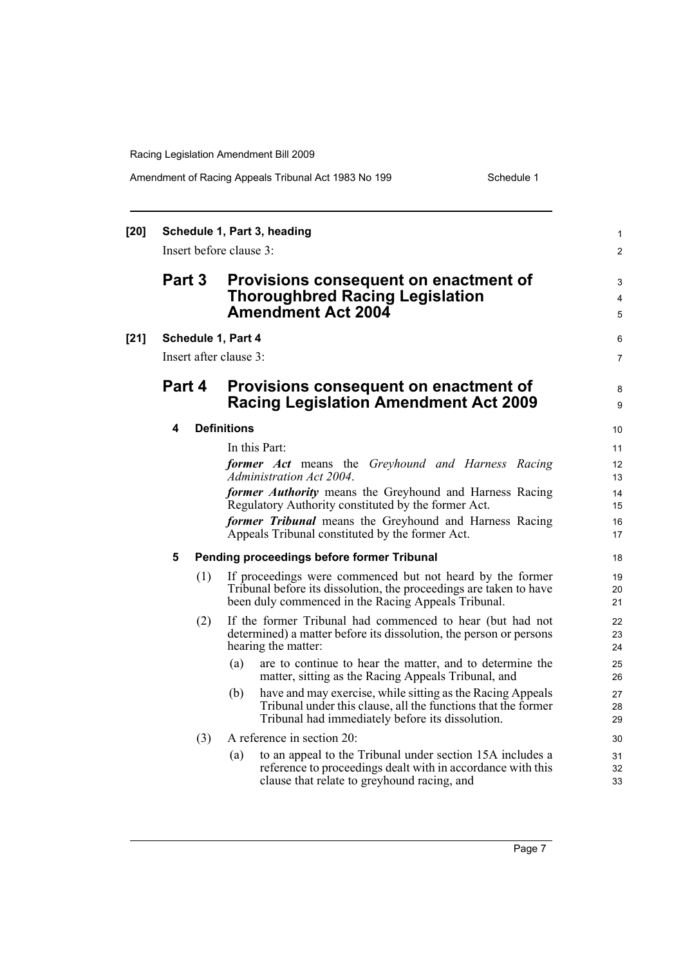#### Amendment of Racing Appeals Tribunal Act 1983 No 199 Schedule 1

| [20] |        |     | Schedule 1, Part 3, heading<br>Insert before clause 3:                                                                                                                                 | $\mathbf{1}$<br>$\overline{2}$ |
|------|--------|-----|----------------------------------------------------------------------------------------------------------------------------------------------------------------------------------------|--------------------------------|
|      | Part 3 |     | Provisions consequent on enactment of<br><b>Thoroughbred Racing Legislation</b><br><b>Amendment Act 2004</b>                                                                           | 3<br>4<br>5                    |
| [21] |        |     | Schedule 1, Part 4                                                                                                                                                                     | 6                              |
|      |        |     | Insert after clause 3:                                                                                                                                                                 | $\overline{7}$                 |
|      | Part 4 |     | Provisions consequent on enactment of<br><b>Racing Legislation Amendment Act 2009</b>                                                                                                  | 8<br>9                         |
|      | 4      |     | <b>Definitions</b>                                                                                                                                                                     | 10 <sup>°</sup>                |
|      |        |     | In this Part:<br>former Act means the Greyhound and Harness Racing<br>Administration Act 2004.                                                                                         | 11<br>12 <sup>2</sup><br>13    |
|      |        |     | former Authority means the Greyhound and Harness Racing<br>Regulatory Authority constituted by the former Act.                                                                         | 14<br>15                       |
|      |        |     | former Tribunal means the Greyhound and Harness Racing<br>Appeals Tribunal constituted by the former Act.                                                                              | 16<br>17                       |
|      | 5      |     | Pending proceedings before former Tribunal                                                                                                                                             | 18                             |
|      |        | (1) | If proceedings were commenced but not heard by the former<br>Tribunal before its dissolution, the proceedings are taken to have<br>been duly commenced in the Racing Appeals Tribunal. | 19<br>20<br>21                 |
|      |        | (2) | If the former Tribunal had commenced to hear (but had not<br>determined) a matter before its dissolution, the person or persons<br>hearing the matter:                                 | 22<br>23<br>24                 |
|      |        |     | are to continue to hear the matter, and to determine the<br>(a)<br>matter, sitting as the Racing Appeals Tribunal, and                                                                 | 25<br>26                       |
|      |        |     | have and may exercise, while sitting as the Racing Appeals<br>(b)<br>Tribunal under this clause, all the functions that the former<br>Tribunal had immediately before its dissolution. | 27<br>28<br>29                 |
|      |        | (3) | A reference in section 20:                                                                                                                                                             | 30                             |
|      |        |     | to an appeal to the Tribunal under section 15A includes a<br>(a)<br>reference to proceedings dealt with in accordance with this<br>clause that relate to greyhound racing, and         | 31<br>32<br>33                 |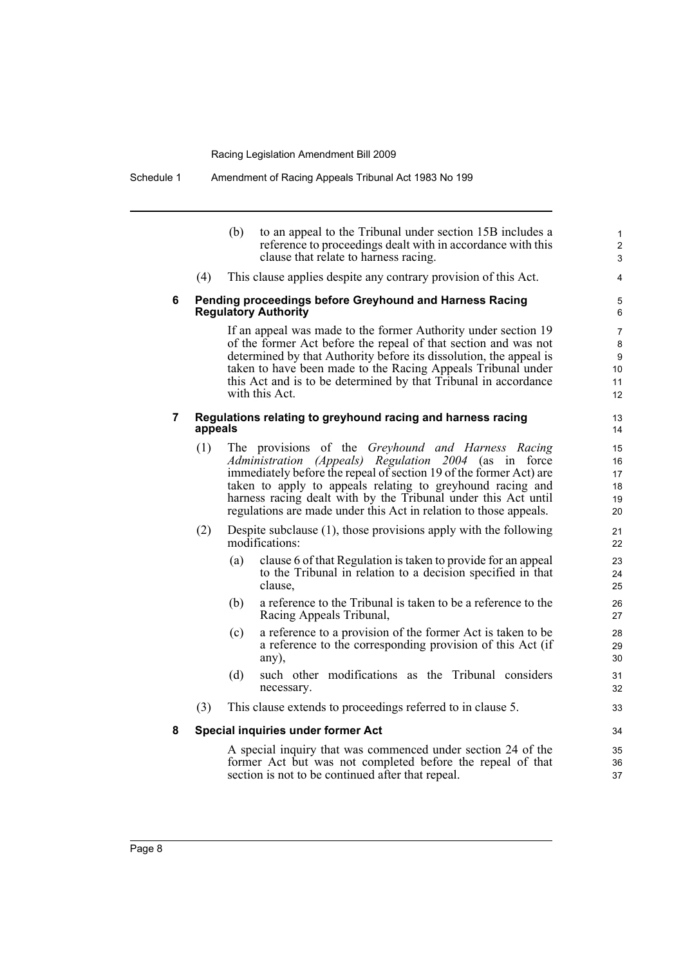Schedule 1 Amendment of Racing Appeals Tribunal Act 1983 No 199

|   |         | (b) | to an appeal to the Tribunal under section 15B includes a<br>reference to proceedings dealt with in accordance with this<br>clause that relate to harness racing.                                                                                                                                                                                                                         | $\mathbf{1}$<br>$\overline{\mathbf{c}}$<br>3 |
|---|---------|-----|-------------------------------------------------------------------------------------------------------------------------------------------------------------------------------------------------------------------------------------------------------------------------------------------------------------------------------------------------------------------------------------------|----------------------------------------------|
|   | (4)     |     | This clause applies despite any contrary provision of this Act.                                                                                                                                                                                                                                                                                                                           | 4                                            |
| 6 |         |     | Pending proceedings before Greyhound and Harness Racing<br><b>Regulatory Authority</b>                                                                                                                                                                                                                                                                                                    | 5<br>6                                       |
|   |         |     | If an appeal was made to the former Authority under section 19<br>of the former Act before the repeal of that section and was not<br>determined by that Authority before its dissolution, the appeal is<br>taken to have been made to the Racing Appeals Tribunal under<br>this Act and is to be determined by that Tribunal in accordance<br>with this Act.                              | 7<br>8<br>$\boldsymbol{9}$<br>10<br>11<br>12 |
| 7 | appeals |     | Regulations relating to greyhound racing and harness racing                                                                                                                                                                                                                                                                                                                               | 13<br>14                                     |
|   | (1)     |     | The provisions of the Greyhound and Harness Racing<br>Administration (Appeals) Regulation 2004 (as in<br>force<br>immediately before the repeal of section 19 of the former Act) are<br>taken to apply to appeals relating to greyhound racing and<br>harness racing dealt with by the Tribunal under this Act until<br>regulations are made under this Act in relation to those appeals. | 15<br>16<br>17<br>18<br>19<br>20             |
|   | (2)     |     | Despite subclause $(1)$ , those provisions apply with the following<br>modifications:                                                                                                                                                                                                                                                                                                     | 21<br>22                                     |
|   |         | (a) | clause 6 of that Regulation is taken to provide for an appeal<br>to the Tribunal in relation to a decision specified in that<br>clause,                                                                                                                                                                                                                                                   | 23<br>24<br>25                               |
|   |         | (b) | a reference to the Tribunal is taken to be a reference to the<br>Racing Appeals Tribunal,                                                                                                                                                                                                                                                                                                 | 26<br>27                                     |
|   |         | (c) | a reference to a provision of the former Act is taken to be<br>a reference to the corresponding provision of this Act (if<br>any),                                                                                                                                                                                                                                                        | 28<br>29<br>30                               |
|   |         | (d) | such other modifications as the Tribunal considers<br>necessary.                                                                                                                                                                                                                                                                                                                          | 31<br>32                                     |
|   | (3)     |     | This clause extends to proceedings referred to in clause 5.                                                                                                                                                                                                                                                                                                                               | 33                                           |
| 8 |         |     | Special inquiries under former Act                                                                                                                                                                                                                                                                                                                                                        | 34                                           |
|   |         |     | A special inquiry that was commenced under section 24 of the                                                                                                                                                                                                                                                                                                                              | 35                                           |

A special inquiry that was commenced under section 24 of the former Act but was not completed before the repeal of that section is not to be continued after that repeal.

36 37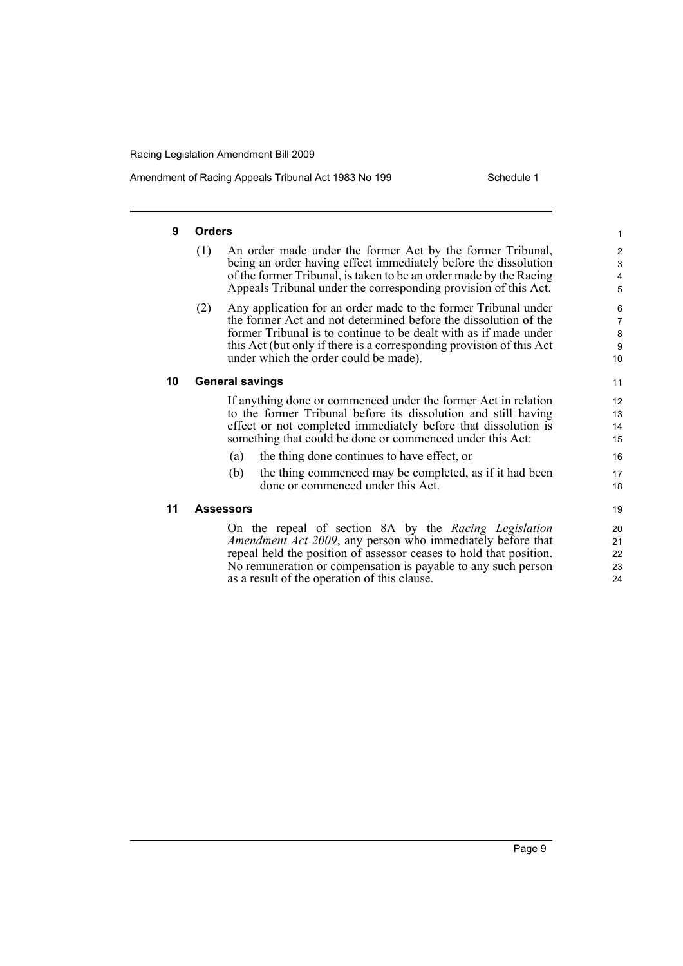Amendment of Racing Appeals Tribunal Act 1983 No 199 Schedule 1

| 9  | <b>Orders</b>                                                                                                                                                                                                                                                                                                                 | 1                             |
|----|-------------------------------------------------------------------------------------------------------------------------------------------------------------------------------------------------------------------------------------------------------------------------------------------------------------------------------|-------------------------------|
|    | (1)<br>An order made under the former Act by the former Tribunal,<br>being an order having effect immediately before the dissolution<br>of the former Tribunal, is taken to be an order made by the Racing<br>Appeals Tribunal under the corresponding provision of this Act.                                                 | $\overline{2}$<br>3<br>4<br>5 |
|    | Any application for an order made to the former Tribunal under<br>(2)<br>the former Act and not determined before the dissolution of the<br>former Tribunal is to continue to be dealt with as if made under<br>this Act (but only if there is a corresponding provision of this Act<br>under which the order could be made). | 6<br>7<br>$\bf8$<br>9<br>10   |
| 10 | <b>General savings</b>                                                                                                                                                                                                                                                                                                        | 11                            |
|    | If anything done or commenced under the former Act in relation<br>to the former Tribunal before its dissolution and still having<br>effect or not completed immediately before that dissolution is<br>something that could be done or commenced under this Act:                                                               | 12<br>13<br>14<br>15          |
|    | the thing done continues to have effect, or<br>(a)                                                                                                                                                                                                                                                                            | 16                            |
|    | the thing commenced may be completed, as if it had been<br>(b)<br>done or commenced under this Act.                                                                                                                                                                                                                           | 17<br>18                      |
| 11 | <b>Assessors</b>                                                                                                                                                                                                                                                                                                              | 19                            |
|    | On the repeal of section 8A by the Racing Legislation<br><i>Amendment Act 2009</i> , any person who immediately before that<br>repeal held the position of assessor ceases to hold that position.<br>No remuneration or compensation is payable to any such person                                                            | 20<br>21<br>22<br>23          |

as a result of the operation of this clause.

Page 9

 $\frac{1}{24}$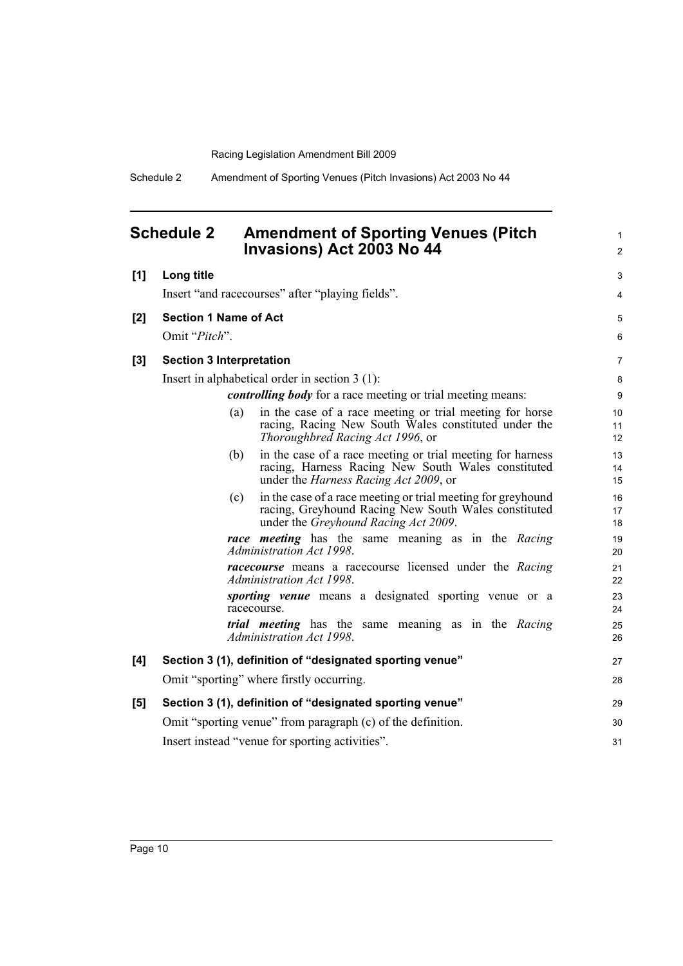Schedule 2 Amendment of Sporting Venues (Pitch Invasions) Act 2003 No 44

<span id="page-15-0"></span>

| <b>Schedule 2</b> | <b>Amendment of Sporting Venues (Pitch)</b> |
|-------------------|---------------------------------------------|
|                   | Invasions) Act 2003 No 44                   |

1 2

| [1] | Long title                                                                                                                                                                  | 3              |
|-----|-----------------------------------------------------------------------------------------------------------------------------------------------------------------------------|----------------|
|     | Insert "and racecourses" after "playing fields".                                                                                                                            | $\overline{4}$ |
| [2] | <b>Section 1 Name of Act</b>                                                                                                                                                | 5              |
|     | Omit "Pitch".                                                                                                                                                               | 6              |
| [3] | <b>Section 3 Interpretation</b>                                                                                                                                             | $\overline{7}$ |
|     | Insert in alphabetical order in section $3(1)$ :                                                                                                                            | 8              |
|     | <i>controlling body</i> for a race meeting or trial meeting means:                                                                                                          | 9              |
|     | in the case of a race meeting or trial meeting for horse<br>(a)<br>racing, Racing New South Wales constituted under the<br>Thoroughbred Racing Act 1996, or                 | 10<br>11<br>12 |
|     | in the case of a race meeting or trial meeting for harness<br>(b)<br>racing, Harness Racing New South Wales constituted<br>under the <i>Harness Racing Act 2009</i> , or    | 13<br>14<br>15 |
|     | in the case of a race meeting or trial meeting for greyhound<br>(c)<br>racing, Greyhound Racing New South Wales constituted<br>under the <i>Greyhound Racing Act 2009</i> . | 16<br>17<br>18 |
|     | race meeting has the same meaning as in the Racing<br>Administration Act 1998.                                                                                              | 19<br>20       |
|     | <i>racecourse</i> means a racecourse licensed under the Racing<br>Administration Act 1998.                                                                                  | 21<br>22       |
|     | <i>sporting venue</i> means a designated sporting venue or a<br>racecourse.                                                                                                 | 23<br>24       |
|     | <i>trial</i> meeting has the same meaning as in the Racing<br>Administration Act 1998.                                                                                      | 25<br>26       |
| [4] | Section 3 (1), definition of "designated sporting venue"                                                                                                                    | 27             |
|     | Omit "sporting" where firstly occurring.                                                                                                                                    | 28             |
| [5] | Section 3 (1), definition of "designated sporting venue"                                                                                                                    | 29             |
|     | Omit "sporting venue" from paragraph (c) of the definition.                                                                                                                 | 30             |
|     | Insert instead "venue for sporting activities".                                                                                                                             | 31             |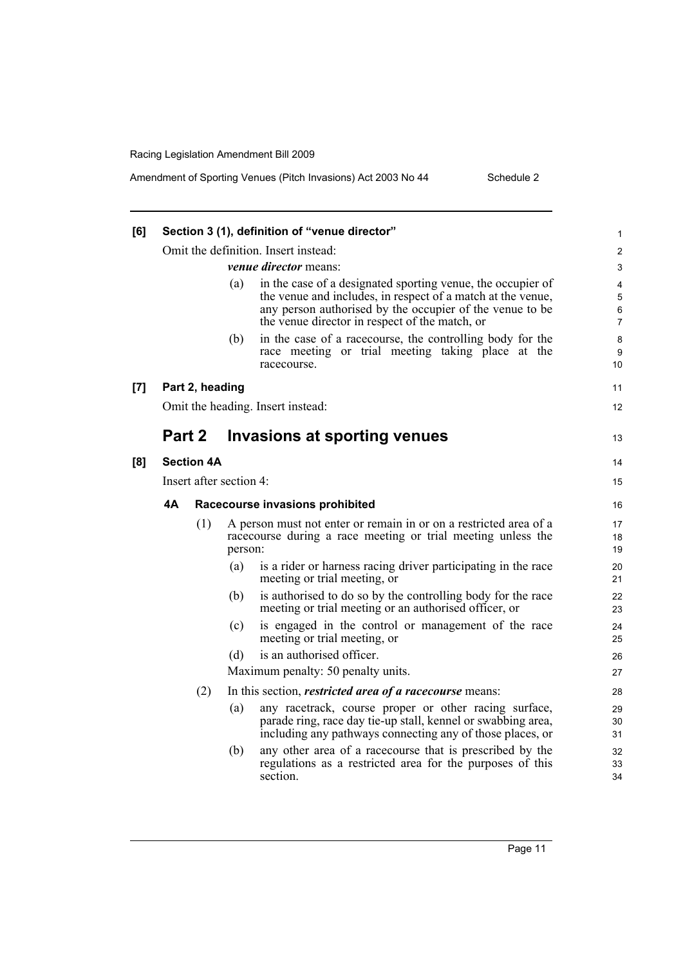| [6] |                                      |                   | Section 3 (1), definition of "venue director"                                                                                                                                                                                                   | 1                |  |
|-----|--------------------------------------|-------------------|-------------------------------------------------------------------------------------------------------------------------------------------------------------------------------------------------------------------------------------------------|------------------|--|
|     | Omit the definition. Insert instead: |                   |                                                                                                                                                                                                                                                 |                  |  |
|     |                                      |                   | <i>venue director</i> means:                                                                                                                                                                                                                    | 3                |  |
|     |                                      |                   | in the case of a designated sporting venue, the occupier of<br>(a)<br>the venue and includes, in respect of a match at the venue,<br>any person authorised by the occupier of the venue to be<br>the venue director in respect of the match, or | 4<br>5<br>6<br>7 |  |
|     |                                      |                   | in the case of a racecourse, the controlling body for the<br>(b)<br>race meeting or trial meeting taking place at the<br>racecourse.                                                                                                            | 8<br>9<br>10     |  |
| [7] |                                      | Part 2, heading   |                                                                                                                                                                                                                                                 | 11               |  |
|     |                                      |                   | Omit the heading. Insert instead:                                                                                                                                                                                                               | 12               |  |
|     | Part 2                               |                   | Invasions at sporting venues                                                                                                                                                                                                                    | 13               |  |
| [8] |                                      | <b>Section 4A</b> |                                                                                                                                                                                                                                                 | 14               |  |
|     |                                      |                   | Insert after section 4:                                                                                                                                                                                                                         | 15               |  |
|     | 4А                                   |                   | Racecourse invasions prohibited                                                                                                                                                                                                                 | 16               |  |
|     |                                      | (1)               | A person must not enter or remain in or on a restricted area of a<br>racecourse during a race meeting or trial meeting unless the<br>person:                                                                                                    | 17<br>18<br>19   |  |
|     |                                      |                   | is a rider or harness racing driver participating in the race<br>(a)<br>meeting or trial meeting, or                                                                                                                                            | 20<br>21         |  |
|     |                                      |                   | is authorised to do so by the controlling body for the race<br>(b)<br>meeting or trial meeting or an authorised officer, or                                                                                                                     | 22<br>23         |  |
|     |                                      |                   | is engaged in the control or management of the race<br>(c)<br>meeting or trial meeting, or                                                                                                                                                      | 24<br>25         |  |
|     |                                      |                   | is an authorised officer.<br>(d)                                                                                                                                                                                                                | 26               |  |
|     |                                      |                   | Maximum penalty: 50 penalty units.                                                                                                                                                                                                              | 27               |  |
|     |                                      | (2)               | In this section, <i>restricted area of a racecourse</i> means:                                                                                                                                                                                  | 28               |  |
|     |                                      |                   | any racetrack, course proper or other racing surface,<br>(a)<br>parade ring, race day tie-up stall, kennel or swabbing area,<br>including any pathways connecting any of those places, or                                                       | 29<br>30<br>31   |  |
|     |                                      |                   | any other area of a racecourse that is prescribed by the<br>(b)<br>regulations as a restricted area for the purposes of this<br>section.                                                                                                        | 32<br>33<br>34   |  |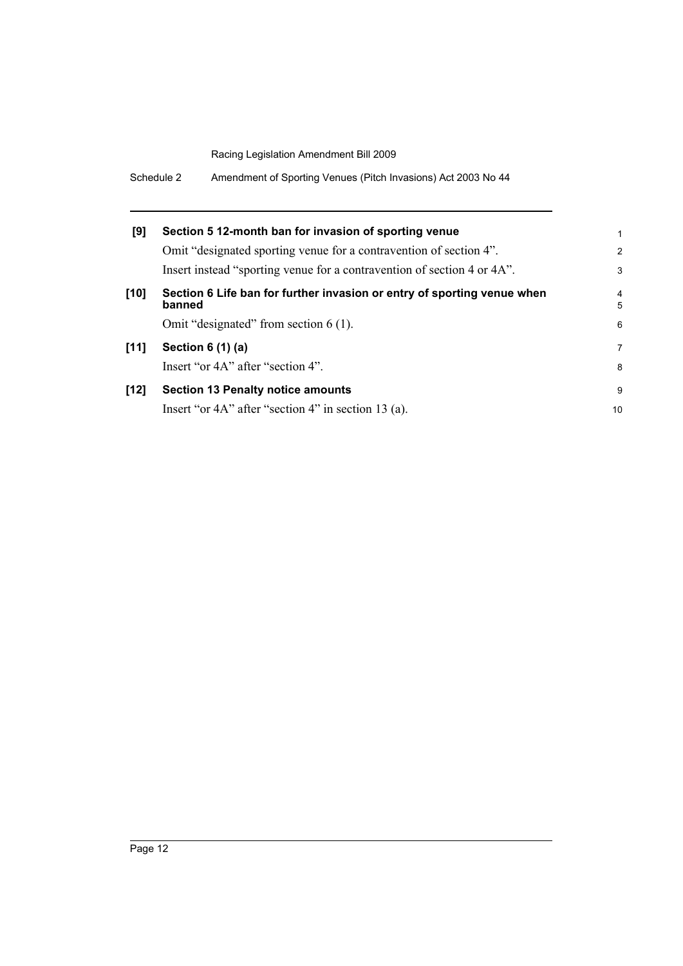| Schedule 2<br>Amendment of Sporting Venues (Pitch Invasions) Act 2003 No 44 |
|-----------------------------------------------------------------------------|
|-----------------------------------------------------------------------------|

| [9]    | Section 5 12-month ban for invasion of sporting venue                             | 1                   |
|--------|-----------------------------------------------------------------------------------|---------------------|
|        | Omit "designated sporting venue for a contravention of section 4".                | $\overline{2}$      |
|        | Insert instead "sporting venue for a contravention of section 4 or 4A".           | 3                   |
| $[10]$ | Section 6 Life ban for further invasion or entry of sporting venue when<br>banned | $\overline{4}$<br>5 |
|        | Omit "designated" from section $6(1)$ .                                           | 6                   |
| [11]   | Section 6 (1) (a)                                                                 | 7                   |
|        | Insert "or 4A" after "section 4".                                                 | 8                   |
| $[12]$ | <b>Section 13 Penalty notice amounts</b>                                          | 9                   |
|        | Insert "or 4A" after "section 4" in section 13 (a).                               | 10                  |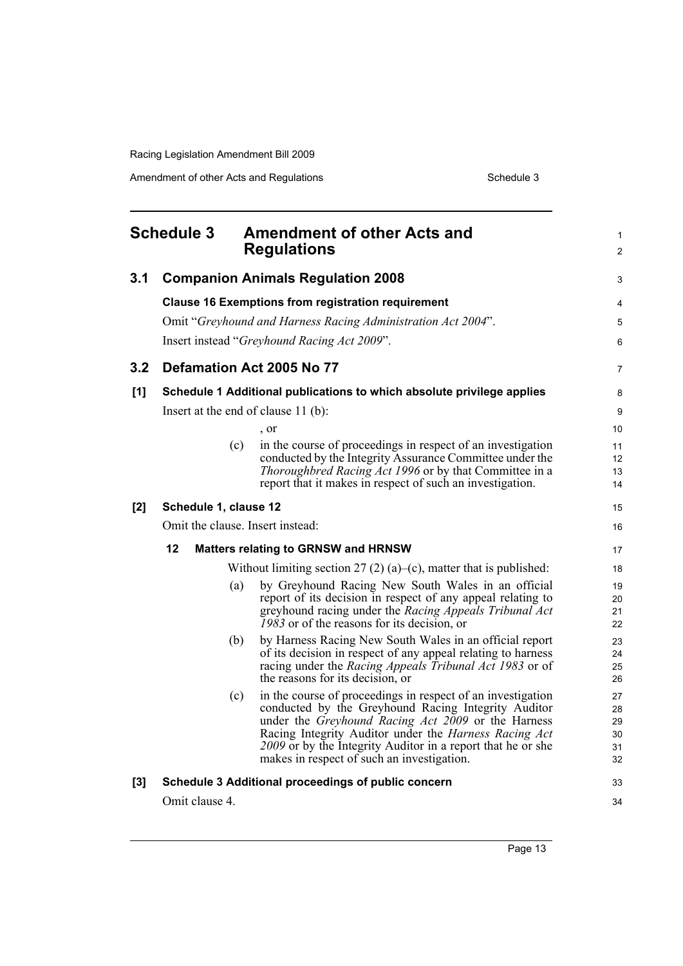Amendment of other Acts and Regulations **Schedule 3** Schedule 3

<span id="page-18-0"></span>

| <b>Schedule 3</b> |                       | <b>Amendment of other Acts and</b><br><b>Regulations</b>                                                                                                                                                                                                                                                                                                     |                                  |
|-------------------|-----------------------|--------------------------------------------------------------------------------------------------------------------------------------------------------------------------------------------------------------------------------------------------------------------------------------------------------------------------------------------------------------|----------------------------------|
| 3.1               |                       | <b>Companion Animals Regulation 2008</b>                                                                                                                                                                                                                                                                                                                     | 3                                |
|                   |                       | <b>Clause 16 Exemptions from registration requirement</b><br>Omit "Greyhound and Harness Racing Administration Act 2004".<br>Insert instead "Greyhound Racing Act 2009".                                                                                                                                                                                     | 4<br>5<br>6                      |
| 3.2               |                       | Defamation Act 2005 No 77                                                                                                                                                                                                                                                                                                                                    | 7                                |
| [1]               |                       | Schedule 1 Additional publications to which absolute privilege applies<br>Insert at the end of clause $11$ (b):<br>, or<br>in the course of proceedings in respect of an investigation<br>(c)                                                                                                                                                                | 8<br>9<br>10<br>11               |
|                   |                       | conducted by the Integrity Assurance Committee under the<br>Thoroughbred Racing Act 1996 or by that Committee in a<br>report that it makes in respect of such an investigation.                                                                                                                                                                              | 12<br>13<br>14                   |
| [2]               | Schedule 1, clause 12 |                                                                                                                                                                                                                                                                                                                                                              | 15                               |
|                   |                       | Omit the clause. Insert instead:                                                                                                                                                                                                                                                                                                                             | 16                               |
|                   | 12                    | <b>Matters relating to GRNSW and HRNSW</b>                                                                                                                                                                                                                                                                                                                   | 17                               |
|                   |                       | Without limiting section 27 (2) (a)–(c), matter that is published:                                                                                                                                                                                                                                                                                           | 18                               |
|                   |                       | by Greyhound Racing New South Wales in an official<br>(a)<br>report of its decision in respect of any appeal relating to<br>greyhound racing under the Racing Appeals Tribunal Act<br>1983 or of the reasons for its decision, or                                                                                                                            | 19<br>20<br>21<br>22             |
|                   |                       | by Harness Racing New South Wales in an official report<br>(b)<br>of its decision in respect of any appeal relating to harness<br>racing under the Racing Appeals Tribunal Act 1983 or of<br>the reasons for its decision, or                                                                                                                                | 23<br>24<br>25<br>26             |
|                   |                       | in the course of proceedings in respect of an investigation<br>(c)<br>conducted by the Greyhound Racing Integrity Auditor<br>under the Greyhound Racing Act 2009 or the Harness<br>Racing Integrity Auditor under the <i>Harness Racing Act</i><br>2009 or by the Integrity Auditor in a report that he or she<br>makes in respect of such an investigation. | 27<br>28<br>29<br>30<br>31<br>32 |
| [3]               |                       | Schedule 3 Additional proceedings of public concern                                                                                                                                                                                                                                                                                                          | 33                               |
|                   | Omit clause 4.        |                                                                                                                                                                                                                                                                                                                                                              | 34                               |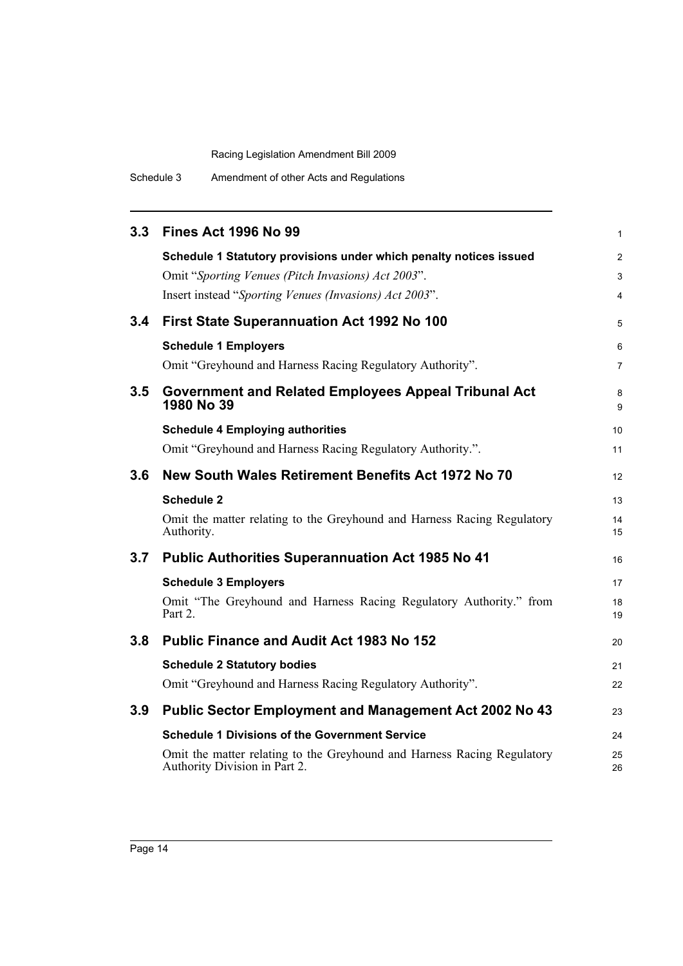Schedule 3 Amendment of other Acts and Regulations

| 3.3           | <b>Fines Act 1996 No 99</b>                                                                              | 1              |
|---------------|----------------------------------------------------------------------------------------------------------|----------------|
|               | Schedule 1 Statutory provisions under which penalty notices issued                                       | $\overline{c}$ |
|               | Omit "Sporting Venues (Pitch Invasions) Act 2003".                                                       | 3              |
|               | Insert instead "Sporting Venues (Invasions) Act 2003".                                                   | 4              |
| $3.4^{\circ}$ | First State Superannuation Act 1992 No 100                                                               | 5              |
|               | <b>Schedule 1 Employers</b>                                                                              | 6              |
|               | Omit "Greyhound and Harness Racing Regulatory Authority".                                                | 7              |
| 3.5           | <b>Government and Related Employees Appeal Tribunal Act</b><br>1980 No 39                                | 8<br>9         |
|               | <b>Schedule 4 Employing authorities</b>                                                                  | 10             |
|               | Omit "Greyhound and Harness Racing Regulatory Authority.".                                               | 11             |
| 3.6           | New South Wales Retirement Benefits Act 1972 No 70                                                       | 12             |
|               | <b>Schedule 2</b>                                                                                        | 13             |
|               | Omit the matter relating to the Greyhound and Harness Racing Regulatory<br>Authority.                    | 14<br>15       |
| 3.7           | <b>Public Authorities Superannuation Act 1985 No 41</b>                                                  | 16             |
|               | <b>Schedule 3 Employers</b>                                                                              | 17             |
|               | Omit "The Greyhound and Harness Racing Regulatory Authority." from<br>Part 2.                            | 18<br>19       |
| 3.8           | <b>Public Finance and Audit Act 1983 No 152</b>                                                          | 20             |
|               | <b>Schedule 2 Statutory bodies</b>                                                                       | 21             |
|               | Omit "Greyhound and Harness Racing Regulatory Authority".                                                | 22             |
| 3.9           | <b>Public Sector Employment and Management Act 2002 No 43</b>                                            | 23             |
|               | <b>Schedule 1 Divisions of the Government Service</b>                                                    | 24             |
|               | Omit the matter relating to the Greyhound and Harness Racing Regulatory<br>Authority Division in Part 2. | 25<br>26       |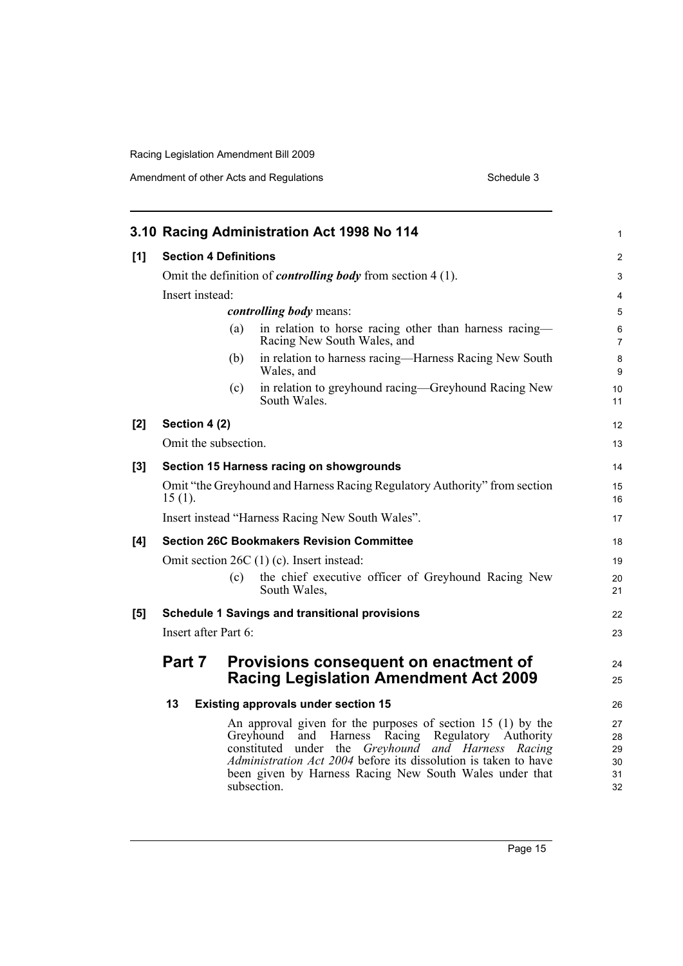|       |                              | 3.10 Racing Administration Act 1998 No 114                                                                                                                                                                                                                                                                                    | 1                                |
|-------|------------------------------|-------------------------------------------------------------------------------------------------------------------------------------------------------------------------------------------------------------------------------------------------------------------------------------------------------------------------------|----------------------------------|
| [1]   | <b>Section 4 Definitions</b> |                                                                                                                                                                                                                                                                                                                               | 2                                |
|       |                              | Omit the definition of <i>controlling body</i> from section $4(1)$ .                                                                                                                                                                                                                                                          | 3                                |
|       | Insert instead:              |                                                                                                                                                                                                                                                                                                                               | 4                                |
|       |                              | <i>controlling body</i> means:                                                                                                                                                                                                                                                                                                | 5                                |
|       | (a)                          | in relation to horse racing other than harness racing—<br>Racing New South Wales, and                                                                                                                                                                                                                                         | 6<br>$\overline{7}$              |
|       | (b)                          | in relation to harness racing—Harness Racing New South<br>Wales, and                                                                                                                                                                                                                                                          | 8<br>9                           |
|       | (c)                          | in relation to greyhound racing—Greyhound Racing New<br>South Wales.                                                                                                                                                                                                                                                          | 10<br>11                         |
| [2]   | Section 4 (2)                |                                                                                                                                                                                                                                                                                                                               | 12                               |
|       | Omit the subsection.         |                                                                                                                                                                                                                                                                                                                               | 13                               |
| $[3]$ |                              | Section 15 Harness racing on showgrounds                                                                                                                                                                                                                                                                                      | 14                               |
|       | $15(1)$ .                    | Omit "the Greyhound and Harness Racing Regulatory Authority" from section                                                                                                                                                                                                                                                     | 15<br>16                         |
|       |                              | Insert instead "Harness Racing New South Wales".                                                                                                                                                                                                                                                                              | 17                               |
| [4]   |                              | <b>Section 26C Bookmakers Revision Committee</b>                                                                                                                                                                                                                                                                              | 18                               |
|       |                              | Omit section 26C (1) (c). Insert instead:                                                                                                                                                                                                                                                                                     | 19                               |
|       | (c)                          | the chief executive officer of Greyhound Racing New<br>South Wales,                                                                                                                                                                                                                                                           | 20<br>21                         |
| [5]   |                              | <b>Schedule 1 Savings and transitional provisions</b>                                                                                                                                                                                                                                                                         | 22                               |
|       | Insert after Part 6:         |                                                                                                                                                                                                                                                                                                                               | 23                               |
|       | Part 7                       | Provisions consequent on enactment of<br><b>Racing Legislation Amendment Act 2009</b>                                                                                                                                                                                                                                         | 24<br>25                         |
|       | 13                           | <b>Existing approvals under section 15</b>                                                                                                                                                                                                                                                                                    | 26                               |
|       |                              | An approval given for the purposes of section 15 (1) by the<br>Greyhound and Harness Racing Regulatory Authority<br>constituted<br>under the <i>Greyhound and Harness Racing</i><br>Administration Act 2004 before its dissolution is taken to have<br>been given by Harness Racing New South Wales under that<br>subsection. | 27<br>28<br>29<br>30<br>31<br>32 |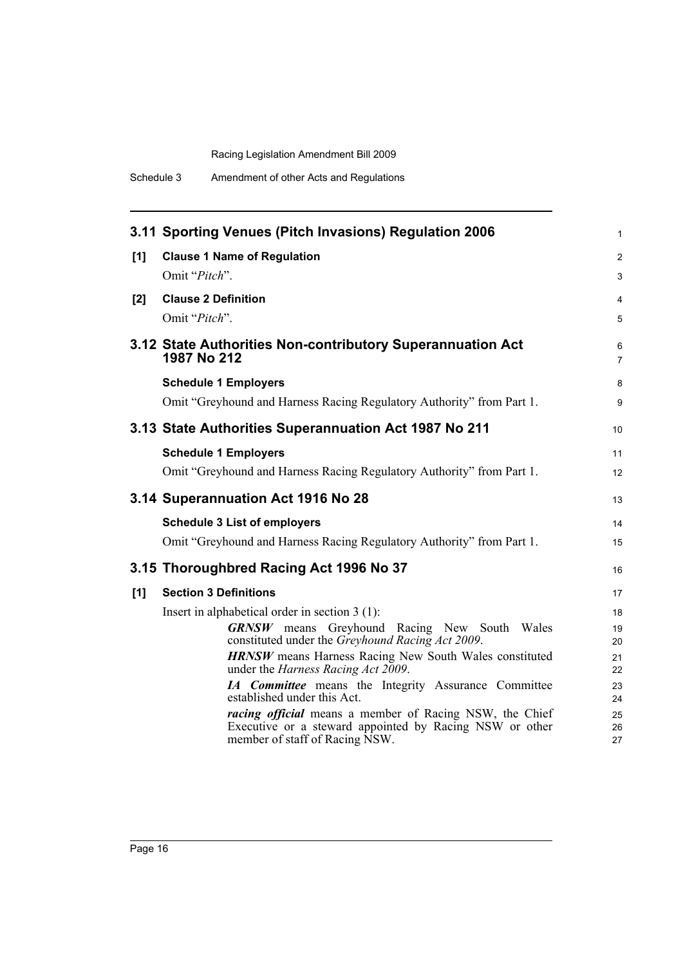|     | 3.11 Sporting Venues (Pitch Invasions) Regulation 2006                                                                                                      | $\mathbf{1}$        |
|-----|-------------------------------------------------------------------------------------------------------------------------------------------------------------|---------------------|
| [1] | <b>Clause 1 Name of Regulation</b>                                                                                                                          | $\overline{2}$      |
|     | Omit "Pitch".                                                                                                                                               | 3                   |
| [2] | <b>Clause 2 Definition</b>                                                                                                                                  | 4                   |
|     | Omit "Pitch".                                                                                                                                               | 5                   |
|     | 3.12 State Authorities Non-contributory Superannuation Act<br>1987 No 212                                                                                   | 6<br>$\overline{7}$ |
|     | <b>Schedule 1 Employers</b>                                                                                                                                 | 8                   |
|     | Omit "Greyhound and Harness Racing Regulatory Authority" from Part 1.                                                                                       | 9                   |
|     | 3.13 State Authorities Superannuation Act 1987 No 211                                                                                                       | 10                  |
|     | <b>Schedule 1 Employers</b>                                                                                                                                 | 11                  |
|     | Omit "Greyhound and Harness Racing Regulatory Authority" from Part 1.                                                                                       | 12                  |
|     | 3.14 Superannuation Act 1916 No 28                                                                                                                          | 13                  |
|     | <b>Schedule 3 List of employers</b>                                                                                                                         | 14                  |
|     | Omit "Greyhound and Harness Racing Regulatory Authority" from Part 1.                                                                                       | 15                  |
|     | 3.15 Thoroughbred Racing Act 1996 No 37                                                                                                                     | 16                  |
| [1] | <b>Section 3 Definitions</b>                                                                                                                                | 17                  |
|     | Insert in alphabetical order in section 3 (1):                                                                                                              | 18                  |
|     | <b>GRNSW</b> means Greyhound Racing New South Wales<br>constituted under the Greyhound Racing Act 2009.                                                     | 19<br>20            |
|     | <b>HRNSW</b> means Harness Racing New South Wales constituted<br>under the <i>Harness Racing Act 2009</i> .                                                 | 21<br>22            |
|     | IA Committee means the Integrity Assurance Committee<br>established under this Act.                                                                         | 23<br>24            |
|     | <i>racing official</i> means a member of Racing NSW, the Chief<br>Executive or a steward appointed by Racing NSW or other<br>member of staff of Racing NSW. | 25<br>26<br>27      |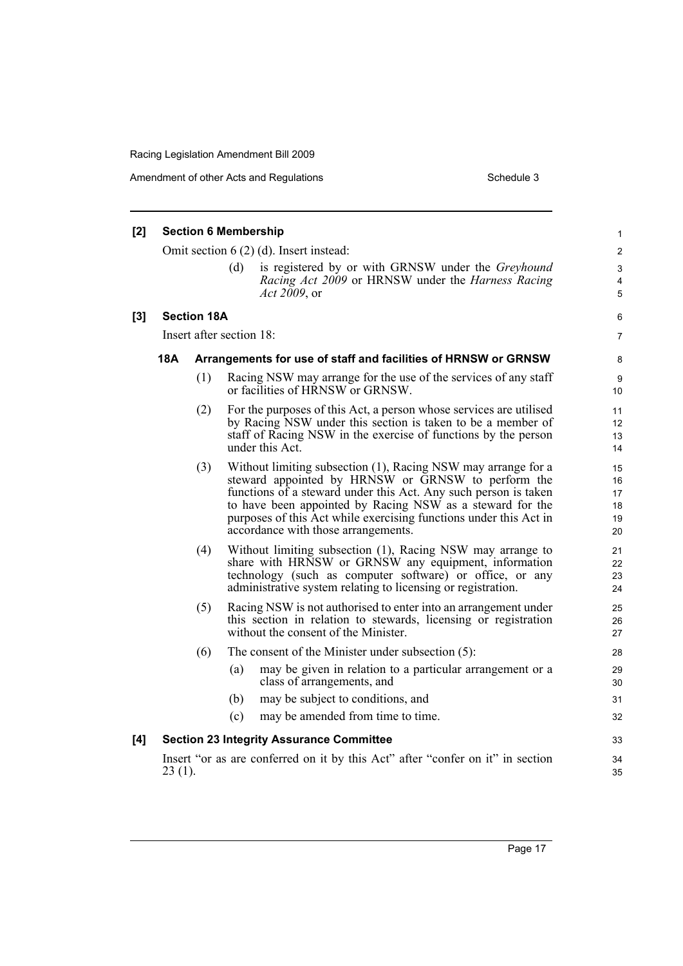Amendment of other Acts and Regulations **Schedule 3** Schedule 3

| [2]   |                                                                                                                                                                                                                                                       | <b>Section 6 Membership</b>                                    |     |                                                                                                                                                                                                                                                                                                                                                                 | 1                                |
|-------|-------------------------------------------------------------------------------------------------------------------------------------------------------------------------------------------------------------------------------------------------------|----------------------------------------------------------------|-----|-----------------------------------------------------------------------------------------------------------------------------------------------------------------------------------------------------------------------------------------------------------------------------------------------------------------------------------------------------------------|----------------------------------|
|       |                                                                                                                                                                                                                                                       |                                                                |     | Omit section $6(2)(d)$ . Insert instead:                                                                                                                                                                                                                                                                                                                        | $\overline{\mathbf{c}}$          |
|       |                                                                                                                                                                                                                                                       |                                                                | (d) | is registered by or with GRNSW under the <i>Greyhound</i><br>Racing Act 2009 or HRNSW under the Harness Racing<br><i>Act 2009</i> , or                                                                                                                                                                                                                          | 3<br>4<br>5                      |
| $[3]$ |                                                                                                                                                                                                                                                       | <b>Section 18A</b>                                             |     |                                                                                                                                                                                                                                                                                                                                                                 | 6                                |
|       |                                                                                                                                                                                                                                                       | Insert after section 18:                                       |     |                                                                                                                                                                                                                                                                                                                                                                 | 7                                |
|       | 18A                                                                                                                                                                                                                                                   | Arrangements for use of staff and facilities of HRNSW or GRNSW |     |                                                                                                                                                                                                                                                                                                                                                                 |                                  |
|       |                                                                                                                                                                                                                                                       | (1)                                                            |     | Racing NSW may arrange for the use of the services of any staff<br>or facilities of HRNSW or GRNSW.                                                                                                                                                                                                                                                             | 9<br>10                          |
|       |                                                                                                                                                                                                                                                       | (2)                                                            |     | For the purposes of this Act, a person whose services are utilised<br>by Racing NSW under this section is taken to be a member of<br>staff of Racing NSW in the exercise of functions by the person<br>under this Act.                                                                                                                                          | 11<br>12<br>13<br>14             |
|       |                                                                                                                                                                                                                                                       | (3)                                                            |     | Without limiting subsection (1), Racing NSW may arrange for a<br>steward appointed by HRNSW or GRNSW to perform the<br>functions of a steward under this Act. Any such person is taken<br>to have been appointed by Racing NSW as a steward for the<br>purposes of this Act while exercising functions under this Act in<br>accordance with those arrangements. | 15<br>16<br>17<br>18<br>19<br>20 |
|       | Without limiting subsection (1), Racing NSW may arrange to<br>(4)<br>share with HRNSW or GRNSW any equipment, information<br>technology (such as computer software) or office, or any<br>administrative system relating to licensing or registration. |                                                                |     | 21<br>22<br>23<br>24                                                                                                                                                                                                                                                                                                                                            |                                  |
|       | (5)<br>Racing NSW is not authorised to enter into an arrangement under<br>this section in relation to stewards, licensing or registration<br>without the consent of the Minister.                                                                     |                                                                |     | 25<br>26<br>27                                                                                                                                                                                                                                                                                                                                                  |                                  |
|       |                                                                                                                                                                                                                                                       | (6)                                                            |     | The consent of the Minister under subsection $(5)$ :                                                                                                                                                                                                                                                                                                            | 28                               |
|       |                                                                                                                                                                                                                                                       |                                                                | (a) | may be given in relation to a particular arrangement or a<br>class of arrangements, and                                                                                                                                                                                                                                                                         | 29<br>30                         |
|       |                                                                                                                                                                                                                                                       |                                                                | (b) | may be subject to conditions, and                                                                                                                                                                                                                                                                                                                               | 31                               |
|       |                                                                                                                                                                                                                                                       |                                                                | (c) | may be amended from time to time.                                                                                                                                                                                                                                                                                                                               | 32                               |
| [4]   |                                                                                                                                                                                                                                                       |                                                                |     | <b>Section 23 Integrity Assurance Committee</b>                                                                                                                                                                                                                                                                                                                 | 33                               |
|       | $23(1)$ .                                                                                                                                                                                                                                             |                                                                |     | Insert "or as are conferred on it by this Act" after "confer on it" in section                                                                                                                                                                                                                                                                                  | 34<br>35                         |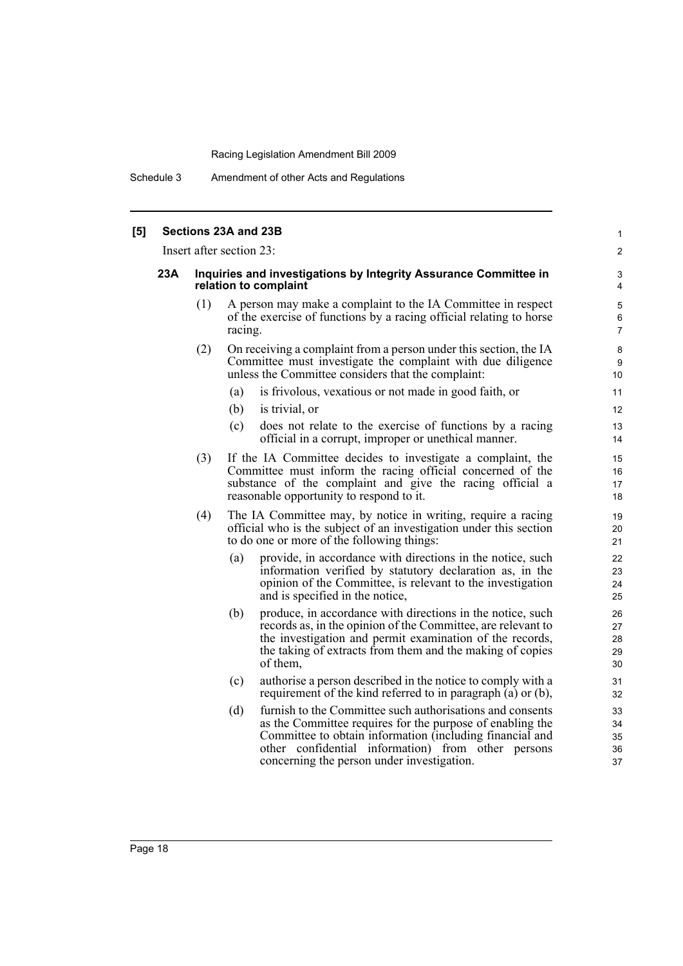Schedule 3 Amendment of other Acts and Regulations

| [5] |     |                                                                                           | Sections 23A and 23B                                                                                                                                                                                                                                                                          | $\mathbf{1}$                 |  |
|-----|-----|-------------------------------------------------------------------------------------------|-----------------------------------------------------------------------------------------------------------------------------------------------------------------------------------------------------------------------------------------------------------------------------------------------|------------------------------|--|
|     |     |                                                                                           | Insert after section 23:                                                                                                                                                                                                                                                                      | 2                            |  |
|     | 23A | Inquiries and investigations by Integrity Assurance Committee in<br>relation to complaint |                                                                                                                                                                                                                                                                                               |                              |  |
|     |     | (1)                                                                                       | A person may make a complaint to the IA Committee in respect<br>of the exercise of functions by a racing official relating to horse<br>racing.                                                                                                                                                | 5<br>$\,6$<br>$\overline{7}$ |  |
|     |     | (2)                                                                                       | On receiving a complaint from a person under this section, the IA<br>Committee must investigate the complaint with due diligence<br>unless the Committee considers that the complaint:                                                                                                        | 8<br>9<br>10                 |  |
|     |     |                                                                                           | is frivolous, vexatious or not made in good faith, or<br>(a)                                                                                                                                                                                                                                  | 11                           |  |
|     |     |                                                                                           | (b)<br>is trivial, or                                                                                                                                                                                                                                                                         | 12                           |  |
|     |     |                                                                                           | (c)<br>does not relate to the exercise of functions by a racing<br>official in a corrupt, improper or unethical manner.                                                                                                                                                                       | 13<br>14                     |  |
|     |     | (3)                                                                                       | If the IA Committee decides to investigate a complaint, the<br>Committee must inform the racing official concerned of the<br>substance of the complaint and give the racing official a<br>reasonable opportunity to respond to it.                                                            | 15<br>16<br>17<br>18         |  |
|     |     | (4)                                                                                       | The IA Committee may, by notice in writing, require a racing<br>official who is the subject of an investigation under this section<br>to do one or more of the following things:                                                                                                              | 19<br>20<br>21               |  |
|     |     |                                                                                           | provide, in accordance with directions in the notice, such<br>(a)<br>information verified by statutory declaration as, in the<br>opinion of the Committee, is relevant to the investigation<br>and is specified in the notice,                                                                | 22<br>23<br>24<br>25         |  |
|     |     |                                                                                           | produce, in accordance with directions in the notice, such<br>(b)<br>records as, in the opinion of the Committee, are relevant to<br>the investigation and permit examination of the records,<br>the taking of extracts from them and the making of copies<br>of them.                        | 26<br>27<br>28<br>29<br>30   |  |
|     |     |                                                                                           | (c)<br>authorise a person described in the notice to comply with a<br>requirement of the kind referred to in paragraph (a) or (b),                                                                                                                                                            | 31<br>32                     |  |
|     |     |                                                                                           | furnish to the Committee such authorisations and consents<br>(d)<br>as the Committee requires for the purpose of enabling the<br>Committee to obtain information (including financial and<br>other confidential information) from other persons<br>concerning the person under investigation. | 33<br>34<br>35<br>36<br>37   |  |